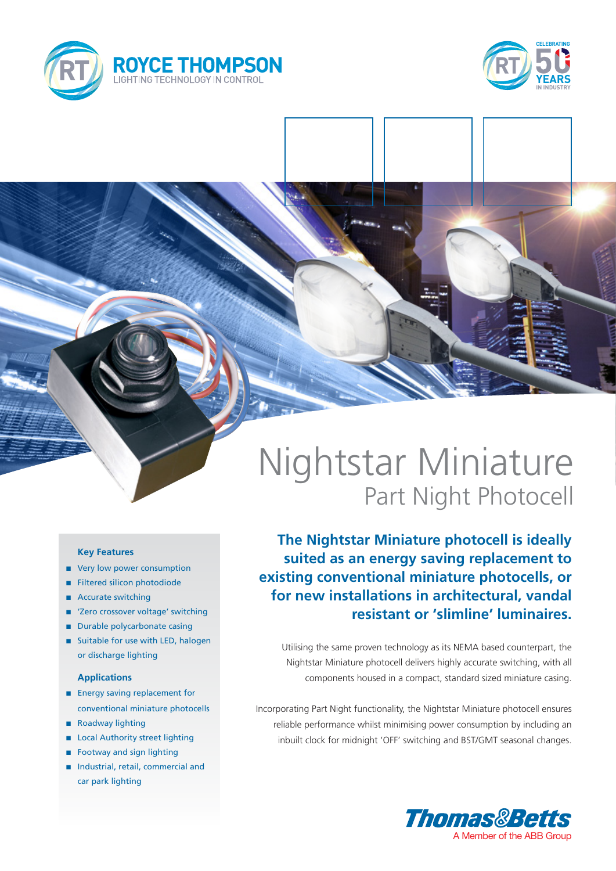



# Nightstar Miniature Part Night Photocell

**The Nightstar Miniature photocell is ideally suited as an energy saving replacement to existing conventional miniature photocells, or for new installations in architectural, vandal resistant or 'slimline' luminaires.**

Utilising the same proven technology as its NEMA based counterpart, the Nightstar Miniature photocell delivers highly accurate switching, with all components housed in a compact, standard sized miniature casing.

Incorporating Part Night functionality, the Nightstar Miniature photocell ensures reliable performance whilst minimising power consumption by including an inbuilt clock for midnight 'OFF' switching and BST/GMT seasonal changes.



### **Key Features**

- very low power consumption
- Filtered silicon photodiode
- Accurate switching
- 'Zero crossover voltage' switching
- **n** Durable polycarbonate casing
- $\blacksquare$  Suitable for use with LED, halogen or discharge lighting

### **Applications**

- **n** Energy saving replacement for conventional miniature photocells
- n Roadway lighting
- **n** Local Authority street lighting
- $\blacksquare$  Footway and sign lighting
- n Industrial, retail, commercial and car park lighting